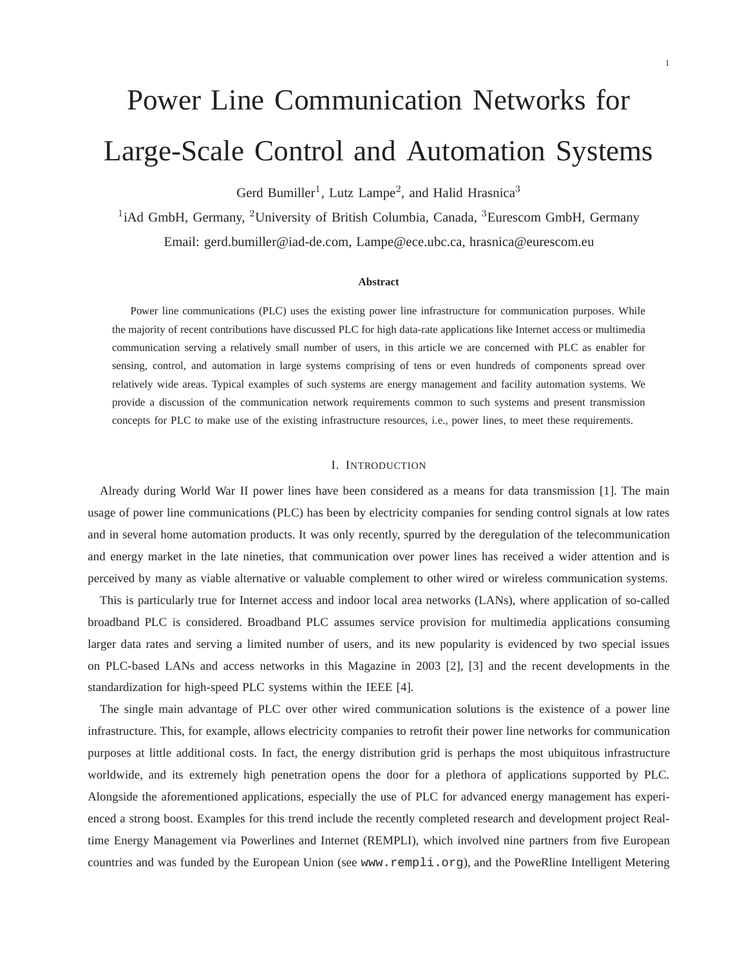# Power Line Communication Networks for Large-Scale Control and Automation Systems

Gerd Bumiller<sup>1</sup>, Lutz Lampe<sup>2</sup>, and Halid Hrasnica<sup>3</sup>

<sup>1</sup>iAd GmbH, Germany, <sup>2</sup>University of British Columbia, Canada, <sup>3</sup>Eurescom GmbH, Germany Email: gerd.bumiller@iad-de.com, Lampe@ece.ubc.ca, hrasnica@eurescom.eu

#### **Abstract**

Power line communications (PLC) uses the existing power line infrastructure for communication purposes. While the majority of recent contributions have discussed PLC for high data-rate applications like Internet access or multimedia communication serving a relatively small number of users, in this article we are concerned with PLC as enabler for sensing, control, and automation in large systems comprising of tens or even hundreds of components spread over relatively wide areas. Typical examples of such systems are energy management and facility automation systems. We provide a discussion of the communication network requirements common to such systems and present transmission concepts for PLC to make use of the existing infrastructure resources, i.e., power lines, to meet these requirements.

## I. INTRODUCTION

Already during World War II power lines have been considered as a means for data transmission [1]. The main usage of power line communications (PLC) has been by electricity companies for sending control signals at low rates and in several home automation products. It was only recently, spurred by the deregulation of the telecommunication and energy market in the late nineties, that communication over power lines has received a wider attention and is perceived by many as viable alternative or valuable complement to other wired or wireless communication systems.

This is particularly true for Internet access and indoor local area networks (LANs), where application of so-called broadband PLC is considered. Broadband PLC assumes service provision for multimedia applications consuming larger data rates and serving a limited number of users, and its new popularity is evidenced by two special issues on PLC-based LANs and access networks in this Magazine in 2003 [2], [3] and the recent developments in the standardization for high-speed PLC systems within the IEEE [4].

The single main advantage of PLC over other wired communication solutions is the existence of a power line infrastructure. This, for example, allows electricity companies to retrofit their power line networks for communication purposes at little additional costs. In fact, the energy distribution grid is perhaps the most ubiquitous infrastructure worldwide, and its extremely high penetration opens the door for a plethora of applications supported by PLC. Alongside the aforementioned applications, especially the use of PLC for advanced energy management has experienced a strong boost. Examples for this trend include the recently completed research and development project Realtime Energy Management via Powerlines and Internet (REMPLI), which involved nine partners from five European countries and was funded by the European Union (see www.rempli.org), and the PoweRline Intelligent Metering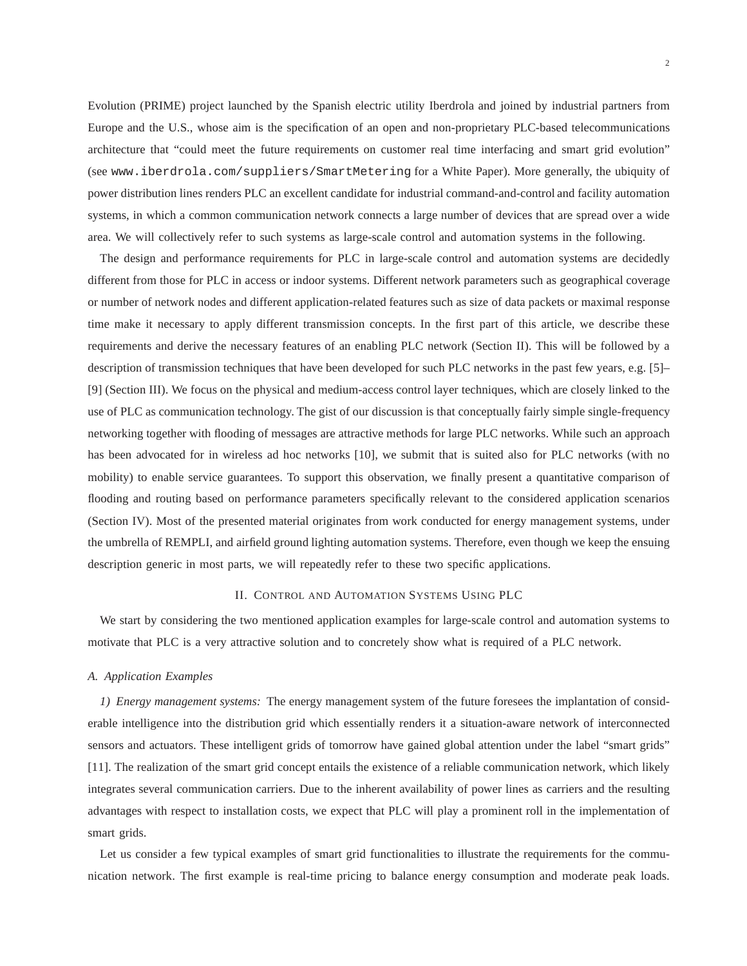Evolution (PRIME) project launched by the Spanish electric utility Iberdrola and joined by industrial partners from Europe and the U.S., whose aim is the specification of an open and non-proprietary PLC-based telecommunications architecture that "could meet the future requirements on customer real time interfacing and smart grid evolution" (see www.iberdrola.com/suppliers/SmartMetering for a White Paper). More generally, the ubiquity of power distribution lines renders PLC an excellent candidate for industrial command-and-control and facility automation systems, in which a common communication network connects a large number of devices that are spread over a wide area. We will collectively refer to such systems as large-scale control and automation systems in the following.

The design and performance requirements for PLC in large-scale control and automation systems are decidedly different from those for PLC in access or indoor systems. Different network parameters such as geographical coverage or number of network nodes and different application-related features such as size of data packets or maximal response time make it necessary to apply different transmission concepts. In the first part of this article, we describe these requirements and derive the necessary features of an enabling PLC network (Section II). This will be followed by a description of transmission techniques that have been developed for such PLC networks in the past few years, e.g. [5]– [9] (Section III). We focus on the physical and medium-access control layer techniques, which are closely linked to the use of PLC as communication technology. The gist of our discussion is that conceptually fairly simple single-frequency networking together with flooding of messages are attractive methods for large PLC networks. While such an approach has been advocated for in wireless ad hoc networks [10], we submit that is suited also for PLC networks (with no mobility) to enable service guarantees. To support this observation, we finally present a quantitative comparison of flooding and routing based on performance parameters specifically relevant to the considered application scenarios (Section IV). Most of the presented material originates from work conducted for energy management systems, under the umbrella of REMPLI, and airfield ground lighting automation systems. Therefore, even though we keep the ensuing description generic in most parts, we will repeatedly refer to these two specific applications.

#### II. CONTROL AND AUTOMATION SYSTEMS USING PLC

We start by considering the two mentioned application examples for large-scale control and automation systems to motivate that PLC is a very attractive solution and to concretely show what is required of a PLC network.

## *A. Application Examples*

*1) Energy management systems:* The energy management system of the future foresees the implantation of considerable intelligence into the distribution grid which essentially renders it a situation-aware network of interconnected sensors and actuators. These intelligent grids of tomorrow have gained global attention under the label "smart grids" [11]. The realization of the smart grid concept entails the existence of a reliable communication network, which likely integrates several communication carriers. Due to the inherent availability of power lines as carriers and the resulting advantages with respect to installation costs, we expect that PLC will play a prominent roll in the implementation of smart grids.

Let us consider a few typical examples of smart grid functionalities to illustrate the requirements for the communication network. The first example is real-time pricing to balance energy consumption and moderate peak loads.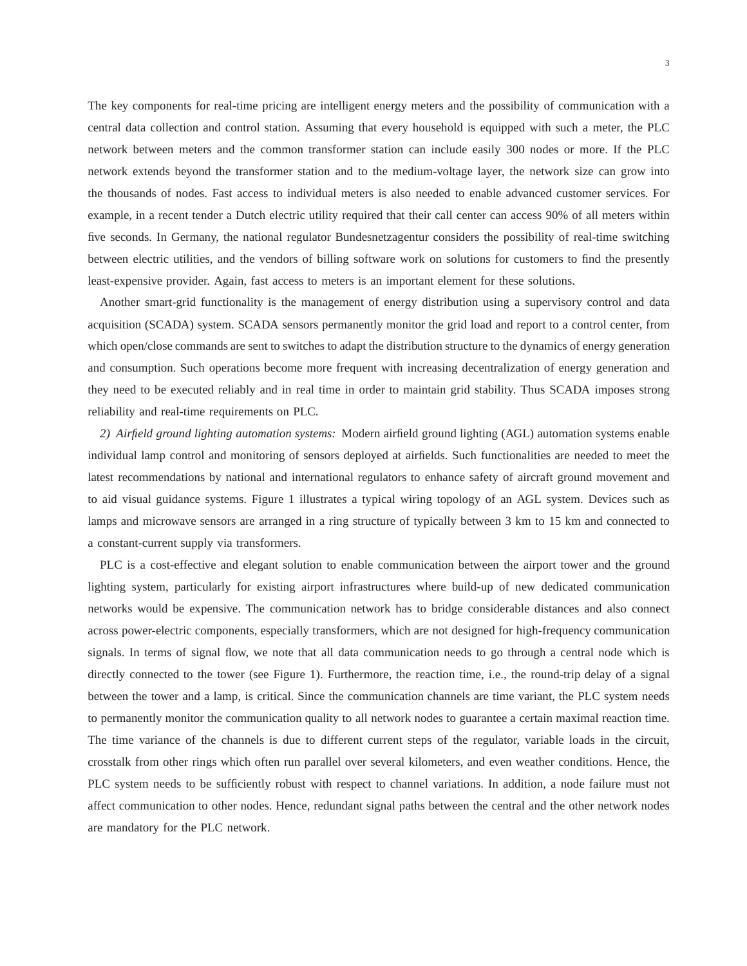The key components for real-time pricing are intelligent energy meters and the possibility of communication with a central data collection and control station. Assuming that every household is equipped with such a meter, the PLC network between meters and the common transformer station can include easily 300 nodes or more. If the PLC network extends beyond the transformer station and to the medium-voltage layer, the network size can grow into the thousands of nodes. Fast access to individual meters is also needed to enable advanced customer services. For example, in a recent tender a Dutch electric utility required that their call center can access 90% of all meters within five seconds. In Germany, the national regulator Bundesnetzagentur considers the possibility of real-time switching between electric utilities, and the vendors of billing software work on solutions for customers to find the presently least-expensive provider. Again, fast access to meters is an important element for these solutions.

Another smart-grid functionality is the management of energy distribution using a supervisory control and data acquisition (SCADA) system. SCADA sensors permanently monitor the grid load and report to a control center, from which open/close commands are sent to switches to adapt the distribution structure to the dynamics of energy generation and consumption. Such operations become more frequent with increasing decentralization of energy generation and they need to be executed reliably and in real time in order to maintain grid stability. Thus SCADA imposes strong reliability and real-time requirements on PLC.

*2) Airfield ground lighting automation systems:* Modern airfield ground lighting (AGL) automation systems enable individual lamp control and monitoring of sensors deployed at airfields. Such functionalities are needed to meet the latest recommendations by national and international regulators to enhance safety of aircraft ground movement and to aid visual guidance systems. Figure 1 illustrates a typical wiring topology of an AGL system. Devices such as lamps and microwave sensors are arranged in a ring structure of typically between 3 km to 15 km and connected to a constant-current supply via transformers.

PLC is a cost-effective and elegant solution to enable communication between the airport tower and the ground lighting system, particularly for existing airport infrastructures where build-up of new dedicated communication networks would be expensive. The communication network has to bridge considerable distances and also connect across power-electric components, especially transformers, which are not designed for high-frequency communication signals. In terms of signal flow, we note that all data communication needs to go through a central node which is directly connected to the tower (see Figure 1). Furthermore, the reaction time, i.e., the round-trip delay of a signal between the tower and a lamp, is critical. Since the communication channels are time variant, the PLC system needs to permanently monitor the communication quality to all network nodes to guarantee a certain maximal reaction time. The time variance of the channels is due to different current steps of the regulator, variable loads in the circuit, crosstalk from other rings which often run parallel over several kilometers, and even weather conditions. Hence, the PLC system needs to be sufficiently robust with respect to channel variations. In addition, a node failure must not affect communication to other nodes. Hence, redundant signal paths between the central and the other network nodes are mandatory for the PLC network.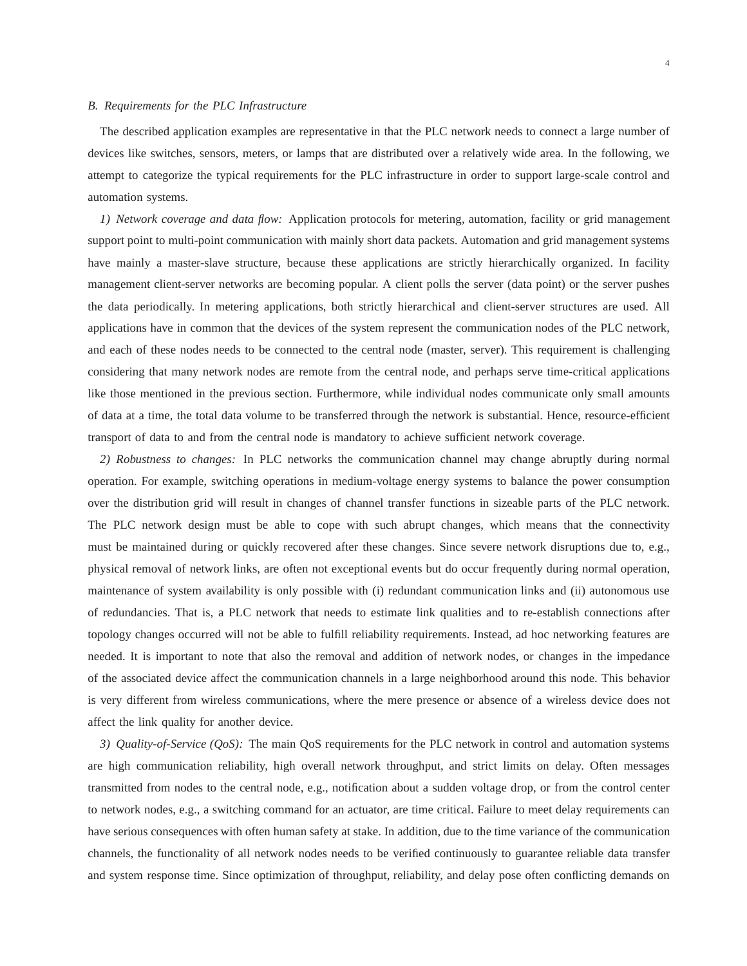# *B. Requirements for the PLC Infrastructure*

The described application examples are representative in that the PLC network needs to connect a large number of devices like switches, sensors, meters, or lamps that are distributed over a relatively wide area. In the following, we attempt to categorize the typical requirements for the PLC infrastructure in order to support large-scale control and automation systems.

*1) Network coverage and data flow:* Application protocols for metering, automation, facility or grid management support point to multi-point communication with mainly short data packets. Automation and grid management systems have mainly a master-slave structure, because these applications are strictly hierarchically organized. In facility management client-server networks are becoming popular. A client polls the server (data point) or the server pushes the data periodically. In metering applications, both strictly hierarchical and client-server structures are used. All applications have in common that the devices of the system represent the communication nodes of the PLC network, and each of these nodes needs to be connected to the central node (master, server). This requirement is challenging considering that many network nodes are remote from the central node, and perhaps serve time-critical applications like those mentioned in the previous section. Furthermore, while individual nodes communicate only small amounts of data at a time, the total data volume to be transferred through the network is substantial. Hence, resource-efficient transport of data to and from the central node is mandatory to achieve sufficient network coverage.

*2) Robustness to changes:* In PLC networks the communication channel may change abruptly during normal operation. For example, switching operations in medium-voltage energy systems to balance the power consumption over the distribution grid will result in changes of channel transfer functions in sizeable parts of the PLC network. The PLC network design must be able to cope with such abrupt changes, which means that the connectivity must be maintained during or quickly recovered after these changes. Since severe network disruptions due to, e.g., physical removal of network links, are often not exceptional events but do occur frequently during normal operation, maintenance of system availability is only possible with (i) redundant communication links and (ii) autonomous use of redundancies. That is, a PLC network that needs to estimate link qualities and to re-establish connections after topology changes occurred will not be able to fulfill reliability requirements. Instead, ad hoc networking features are needed. It is important to note that also the removal and addition of network nodes, or changes in the impedance of the associated device affect the communication channels in a large neighborhood around this node. This behavior is very different from wireless communications, where the mere presence or absence of a wireless device does not affect the link quality for another device.

*3) Quality-of-Service (QoS):* The main QoS requirements for the PLC network in control and automation systems are high communication reliability, high overall network throughput, and strict limits on delay. Often messages transmitted from nodes to the central node, e.g., notification about a sudden voltage drop, or from the control center to network nodes, e.g., a switching command for an actuator, are time critical. Failure to meet delay requirements can have serious consequences with often human safety at stake. In addition, due to the time variance of the communication channels, the functionality of all network nodes needs to be verified continuously to guarantee reliable data transfer and system response time. Since optimization of throughput, reliability, and delay pose often conflicting demands on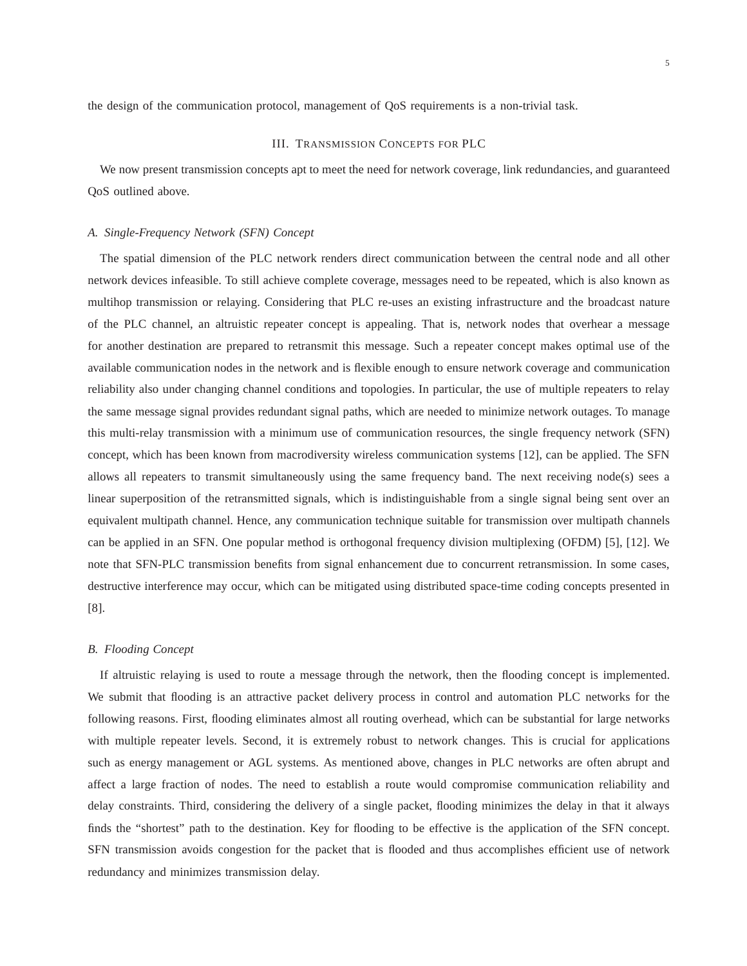the design of the communication protocol, management of QoS requirements is a non-trivial task.

#### III. TRANSMISSION CONCEPTS FOR PLC

We now present transmission concepts apt to meet the need for network coverage, link redundancies, and guaranteed QoS outlined above.

# *A. Single-Frequency Network (SFN) Concept*

The spatial dimension of the PLC network renders direct communication between the central node and all other network devices infeasible. To still achieve complete coverage, messages need to be repeated, which is also known as multihop transmission or relaying. Considering that PLC re-uses an existing infrastructure and the broadcast nature of the PLC channel, an altruistic repeater concept is appealing. That is, network nodes that overhear a message for another destination are prepared to retransmit this message. Such a repeater concept makes optimal use of the available communication nodes in the network and is flexible enough to ensure network coverage and communication reliability also under changing channel conditions and topologies. In particular, the use of multiple repeaters to relay the same message signal provides redundant signal paths, which are needed to minimize network outages. To manage this multi-relay transmission with a minimum use of communication resources, the single frequency network (SFN) concept, which has been known from macrodiversity wireless communication systems [12], can be applied. The SFN allows all repeaters to transmit simultaneously using the same frequency band. The next receiving node(s) sees a linear superposition of the retransmitted signals, which is indistinguishable from a single signal being sent over an equivalent multipath channel. Hence, any communication technique suitable for transmission over multipath channels can be applied in an SFN. One popular method is orthogonal frequency division multiplexing (OFDM) [5], [12]. We note that SFN-PLC transmission benefits from signal enhancement due to concurrent retransmission. In some cases, destructive interference may occur, which can be mitigated using distributed space-time coding concepts presented in [8].

# *B. Flooding Concept*

If altruistic relaying is used to route a message through the network, then the flooding concept is implemented. We submit that flooding is an attractive packet delivery process in control and automation PLC networks for the following reasons. First, flooding eliminates almost all routing overhead, which can be substantial for large networks with multiple repeater levels. Second, it is extremely robust to network changes. This is crucial for applications such as energy management or AGL systems. As mentioned above, changes in PLC networks are often abrupt and affect a large fraction of nodes. The need to establish a route would compromise communication reliability and delay constraints. Third, considering the delivery of a single packet, flooding minimizes the delay in that it always finds the "shortest" path to the destination. Key for flooding to be effective is the application of the SFN concept. SFN transmission avoids congestion for the packet that is flooded and thus accomplishes efficient use of network redundancy and minimizes transmission delay.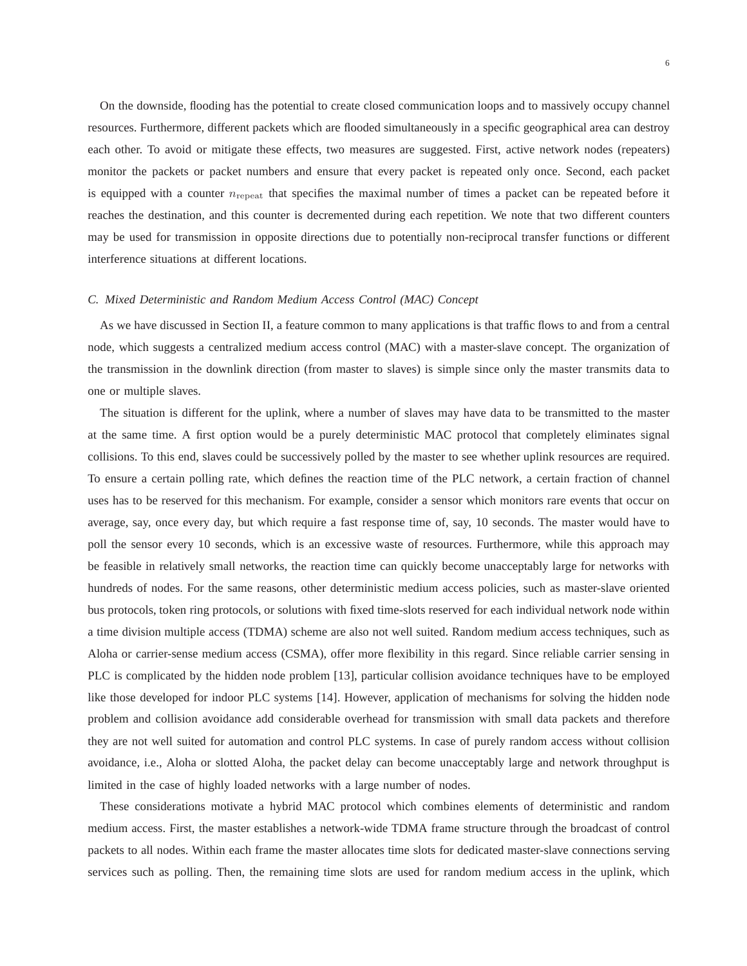On the downside, flooding has the potential to create closed communication loops and to massively occupy channel resources. Furthermore, different packets which are flooded simultaneously in a specific geographical area can destroy each other. To avoid or mitigate these effects, two measures are suggested. First, active network nodes (repeaters) monitor the packets or packet numbers and ensure that every packet is repeated only once. Second, each packet is equipped with a counter  $n_{\text{repeat}}$  that specifies the maximal number of times a packet can be repeated before it reaches the destination, and this counter is decremented during each repetition. We note that two different counters may be used for transmission in opposite directions due to potentially non-reciprocal transfer functions or different interference situations at different locations.

## *C. Mixed Deterministic and Random Medium Access Control (MAC) Concept*

As we have discussed in Section II, a feature common to many applications is that traffic flows to and from a central node, which suggests a centralized medium access control (MAC) with a master-slave concept. The organization of the transmission in the downlink direction (from master to slaves) is simple since only the master transmits data to one or multiple slaves.

The situation is different for the uplink, where a number of slaves may have data to be transmitted to the master at the same time. A first option would be a purely deterministic MAC protocol that completely eliminates signal collisions. To this end, slaves could be successively polled by the master to see whether uplink resources are required. To ensure a certain polling rate, which defines the reaction time of the PLC network, a certain fraction of channel uses has to be reserved for this mechanism. For example, consider a sensor which monitors rare events that occur on average, say, once every day, but which require a fast response time of, say, 10 seconds. The master would have to poll the sensor every 10 seconds, which is an excessive waste of resources. Furthermore, while this approach may be feasible in relatively small networks, the reaction time can quickly become unacceptably large for networks with hundreds of nodes. For the same reasons, other deterministic medium access policies, such as master-slave oriented bus protocols, token ring protocols, or solutions with fixed time-slots reserved for each individual network node within a time division multiple access (TDMA) scheme are also not well suited. Random medium access techniques, such as Aloha or carrier-sense medium access (CSMA), offer more flexibility in this regard. Since reliable carrier sensing in PLC is complicated by the hidden node problem [13], particular collision avoidance techniques have to be employed like those developed for indoor PLC systems [14]. However, application of mechanisms for solving the hidden node problem and collision avoidance add considerable overhead for transmission with small data packets and therefore they are not well suited for automation and control PLC systems. In case of purely random access without collision avoidance, i.e., Aloha or slotted Aloha, the packet delay can become unacceptably large and network throughput is limited in the case of highly loaded networks with a large number of nodes.

These considerations motivate a hybrid MAC protocol which combines elements of deterministic and random medium access. First, the master establishes a network-wide TDMA frame structure through the broadcast of control packets to all nodes. Within each frame the master allocates time slots for dedicated master-slave connections serving services such as polling. Then, the remaining time slots are used for random medium access in the uplink, which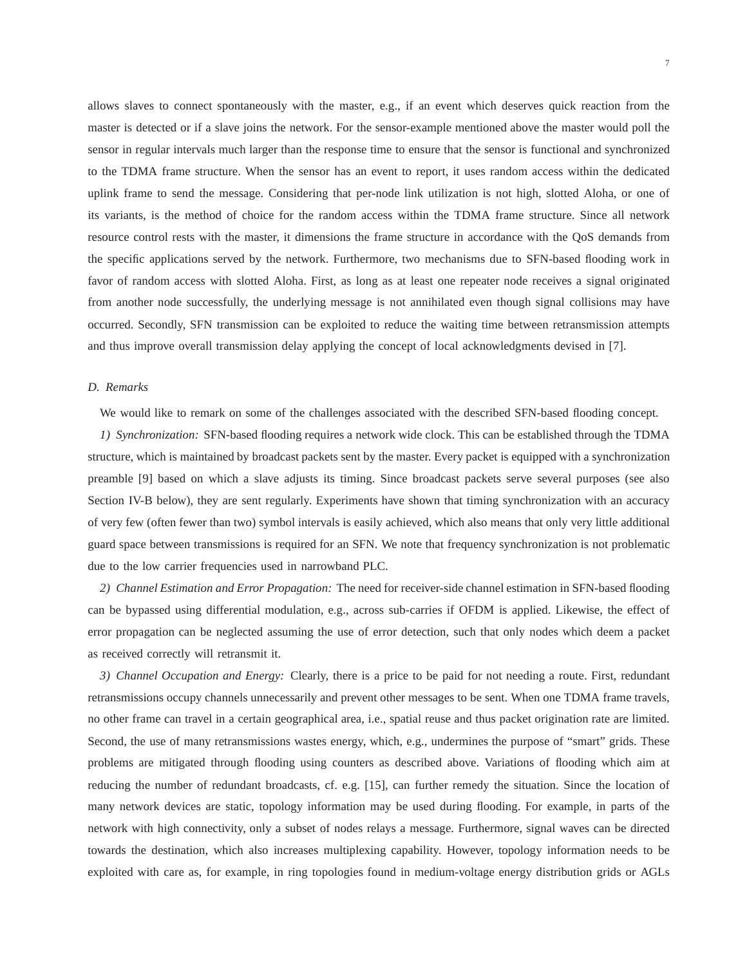allows slaves to connect spontaneously with the master, e.g., if an event which deserves quick reaction from the master is detected or if a slave joins the network. For the sensor-example mentioned above the master would poll the sensor in regular intervals much larger than the response time to ensure that the sensor is functional and synchronized to the TDMA frame structure. When the sensor has an event to report, it uses random access within the dedicated uplink frame to send the message. Considering that per-node link utilization is not high, slotted Aloha, or one of its variants, is the method of choice for the random access within the TDMA frame structure. Since all network resource control rests with the master, it dimensions the frame structure in accordance with the QoS demands from the specific applications served by the network. Furthermore, two mechanisms due to SFN-based flooding work in favor of random access with slotted Aloha. First, as long as at least one repeater node receives a signal originated from another node successfully, the underlying message is not annihilated even though signal collisions may have occurred. Secondly, SFN transmission can be exploited to reduce the waiting time between retransmission attempts and thus improve overall transmission delay applying the concept of local acknowledgments devised in [7].

# *D. Remarks*

We would like to remark on some of the challenges associated with the described SFN-based flooding concept.

*1) Synchronization:* SFN-based flooding requires a network wide clock. This can be established through the TDMA structure, which is maintained by broadcast packets sent by the master. Every packet is equipped with a synchronization preamble [9] based on which a slave adjusts its timing. Since broadcast packets serve several purposes (see also Section IV-B below), they are sent regularly. Experiments have shown that timing synchronization with an accuracy of very few (often fewer than two) symbol intervals is easily achieved, which also means that only very little additional guard space between transmissions is required for an SFN. We note that frequency synchronization is not problematic due to the low carrier frequencies used in narrowband PLC.

*2) Channel Estimation and Error Propagation:* The need for receiver-side channel estimation in SFN-based flooding can be bypassed using differential modulation, e.g., across sub-carries if OFDM is applied. Likewise, the effect of error propagation can be neglected assuming the use of error detection, such that only nodes which deem a packet as received correctly will retransmit it.

*3) Channel Occupation and Energy:* Clearly, there is a price to be paid for not needing a route. First, redundant retransmissions occupy channels unnecessarily and prevent other messages to be sent. When one TDMA frame travels, no other frame can travel in a certain geographical area, i.e., spatial reuse and thus packet origination rate are limited. Second, the use of many retransmissions wastes energy, which, e.g., undermines the purpose of "smart" grids. These problems are mitigated through flooding using counters as described above. Variations of flooding which aim at reducing the number of redundant broadcasts, cf. e.g. [15], can further remedy the situation. Since the location of many network devices are static, topology information may be used during flooding. For example, in parts of the network with high connectivity, only a subset of nodes relays a message. Furthermore, signal waves can be directed towards the destination, which also increases multiplexing capability. However, topology information needs to be exploited with care as, for example, in ring topologies found in medium-voltage energy distribution grids or AGLs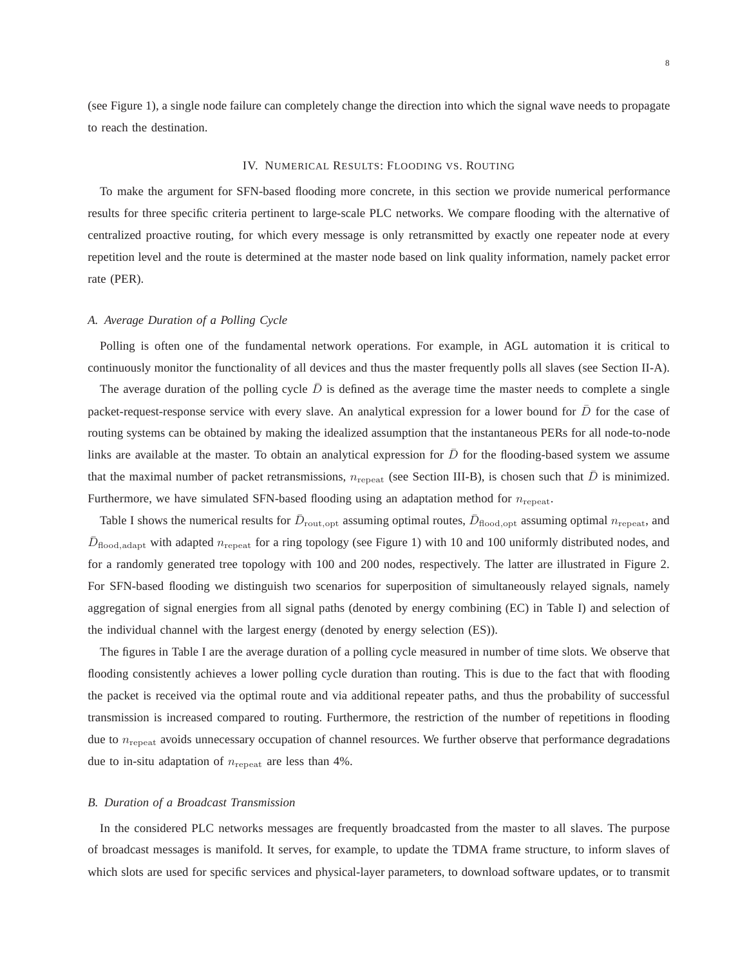(see Figure 1), a single node failure can completely change the direction into which the signal wave needs to propagate to reach the destination.

## IV. NUMERICAL RESULTS: FLOODING VS. ROUTING

To make the argument for SFN-based flooding more concrete, in this section we provide numerical performance results for three specific criteria pertinent to large-scale PLC networks. We compare flooding with the alternative of centralized proactive routing, for which every message is only retransmitted by exactly one repeater node at every repetition level and the route is determined at the master node based on link quality information, namely packet error rate (PER).

# *A. Average Duration of a Polling Cycle*

Polling is often one of the fundamental network operations. For example, in AGL automation it is critical to continuously monitor the functionality of all devices and thus the master frequently polls all slaves (see Section II-A).

The average duration of the polling cycle  $\bar{D}$  is defined as the average time the master needs to complete a single packet-request-response service with every slave. An analytical expression for a lower bound for  $D$  for the case of routing systems can be obtained by making the idealized assumption that the instantaneous PERs for all node-to-node links are available at the master. To obtain an analytical expression for  $\bar{D}$  for the flooding-based system we assume that the maximal number of packet retransmissions,  $n_{\text{repeat}}$  (see Section III-B), is chosen such that  $\overline{D}$  is minimized. Furthermore, we have simulated SFN-based flooding using an adaptation method for  $n_{\text{repeat}}$ .

Table I shows the numerical results for  $\bar{D}_{\text{rout,opt}}$  assuming optimal routes,  $\bar{D}_{\text{flood,opt}}$  assuming optimal  $n_{\text{repeat}}$ , and  $\bar{D}_{\text{food},\text{adapt}}$  with adapted  $n_{\text{repeat}}$  for a ring topology (see Figure 1) with 10 and 100 uniformly distributed nodes, and for a randomly generated tree topology with 100 and 200 nodes, respectively. The latter are illustrated in Figure 2. For SFN-based flooding we distinguish two scenarios for superposition of simultaneously relayed signals, namely aggregation of signal energies from all signal paths (denoted by energy combining (EC) in Table I) and selection of the individual channel with the largest energy (denoted by energy selection (ES)).

The figures in Table I are the average duration of a polling cycle measured in number of time slots. We observe that flooding consistently achieves a lower polling cycle duration than routing. This is due to the fact that with flooding the packet is received via the optimal route and via additional repeater paths, and thus the probability of successful transmission is increased compared to routing. Furthermore, the restriction of the number of repetitions in flooding due to  $n_{\text{repeat}}$  avoids unnecessary occupation of channel resources. We further observe that performance degradations due to in-situ adaptation of  $n_{\text{repeat}}$  are less than 4%.

## *B. Duration of a Broadcast Transmission*

In the considered PLC networks messages are frequently broadcasted from the master to all slaves. The purpose of broadcast messages is manifold. It serves, for example, to update the TDMA frame structure, to inform slaves of which slots are used for specific services and physical-layer parameters, to download software updates, or to transmit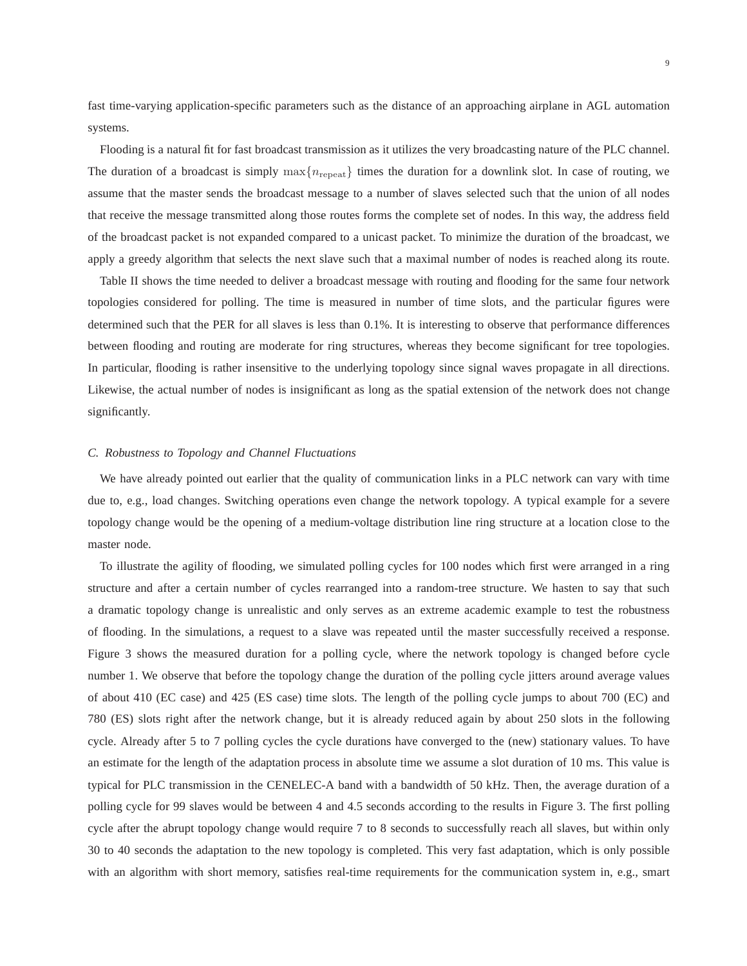fast time-varying application-specific parameters such as the distance of an approaching airplane in AGL automation systems.

Flooding is a natural fit for fast broadcast transmission as it utilizes the very broadcasting nature of the PLC channel. The duration of a broadcast is simply  $\max\{n_{\text{repeat}}\}$  times the duration for a downlink slot. In case of routing, we assume that the master sends the broadcast message to a number of slaves selected such that the union of all nodes that receive the message transmitted along those routes forms the complete set of nodes. In this way, the address field of the broadcast packet is not expanded compared to a unicast packet. To minimize the duration of the broadcast, we apply a greedy algorithm that selects the next slave such that a maximal number of nodes is reached along its route.

Table II shows the time needed to deliver a broadcast message with routing and flooding for the same four network topologies considered for polling. The time is measured in number of time slots, and the particular figures were determined such that the PER for all slaves is less than 0.1%. It is interesting to observe that performance differences between flooding and routing are moderate for ring structures, whereas they become significant for tree topologies. In particular, flooding is rather insensitive to the underlying topology since signal waves propagate in all directions. Likewise, the actual number of nodes is insignificant as long as the spatial extension of the network does not change significantly.

#### *C. Robustness to Topology and Channel Fluctuations*

We have already pointed out earlier that the quality of communication links in a PLC network can vary with time due to, e.g., load changes. Switching operations even change the network topology. A typical example for a severe topology change would be the opening of a medium-voltage distribution line ring structure at a location close to the master node.

To illustrate the agility of flooding, we simulated polling cycles for 100 nodes which first were arranged in a ring structure and after a certain number of cycles rearranged into a random-tree structure. We hasten to say that such a dramatic topology change is unrealistic and only serves as an extreme academic example to test the robustness of flooding. In the simulations, a request to a slave was repeated until the master successfully received a response. Figure 3 shows the measured duration for a polling cycle, where the network topology is changed before cycle number 1. We observe that before the topology change the duration of the polling cycle jitters around average values of about 410 (EC case) and 425 (ES case) time slots. The length of the polling cycle jumps to about 700 (EC) and 780 (ES) slots right after the network change, but it is already reduced again by about 250 slots in the following cycle. Already after 5 to 7 polling cycles the cycle durations have converged to the (new) stationary values. To have an estimate for the length of the adaptation process in absolute time we assume a slot duration of 10 ms. This value is typical for PLC transmission in the CENELEC-A band with a bandwidth of 50 kHz. Then, the average duration of a polling cycle for 99 slaves would be between 4 and 4.5 seconds according to the results in Figure 3. The first polling cycle after the abrupt topology change would require 7 to 8 seconds to successfully reach all slaves, but within only 30 to 40 seconds the adaptation to the new topology is completed. This very fast adaptation, which is only possible with an algorithm with short memory, satisfies real-time requirements for the communication system in, e.g., smart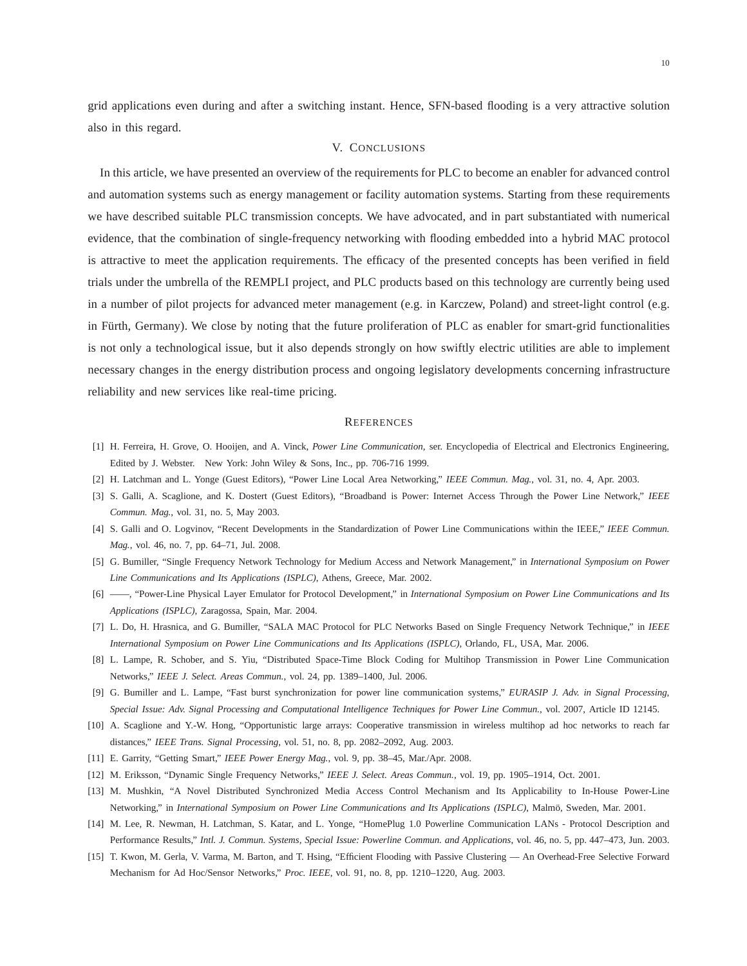grid applications even during and after a switching instant. Hence, SFN-based flooding is a very attractive solution also in this regard.

## V. CONCLUSIONS

In this article, we have presented an overview of the requirements for PLC to become an enabler for advanced control and automation systems such as energy management or facility automation systems. Starting from these requirements we have described suitable PLC transmission concepts. We have advocated, and in part substantiated with numerical evidence, that the combination of single-frequency networking with flooding embedded into a hybrid MAC protocol is attractive to meet the application requirements. The efficacy of the presented concepts has been verified in field trials under the umbrella of the REMPLI project, and PLC products based on this technology are currently being used in a number of pilot projects for advanced meter management (e.g. in Karczew, Poland) and street-light control (e.g. in Fürth, Germany). We close by noting that the future proliferation of PLC as enabler for smart-grid functionalities is not only a technological issue, but it also depends strongly on how swiftly electric utilities are able to implement necessary changes in the energy distribution process and ongoing legislatory developments concerning infrastructure reliability and new services like real-time pricing.

#### **REFERENCES**

- [1] H. Ferreira, H. Grove, O. Hooijen, and A. Vinck, *Power Line Communication*, ser. Encyclopedia of Electrical and Electronics Engineering, Edited by J. Webster. New York: John Wiley & Sons, Inc., pp. 706-716 1999.
- [2] H. Latchman and L. Yonge (Guest Editors), "Power Line Local Area Networking," *IEEE Commun. Mag.*, vol. 31, no. 4, Apr. 2003.
- [3] S. Galli, A. Scaglione, and K. Dostert (Guest Editors), "Broadband is Power: Internet Access Through the Power Line Network," *IEEE Commun. Mag.*, vol. 31, no. 5, May 2003.
- [4] S. Galli and O. Logvinov, "Recent Developments in the Standardization of Power Line Communications within the IEEE," *IEEE Commun. Mag.*, vol. 46, no. 7, pp. 64–71, Jul. 2008.
- [5] G. Bumiller, "Single Frequency Network Technology for Medium Access and Network Management," in *International Symposium on Power Line Communications and Its Applications (ISPLC)*, Athens, Greece, Mar. 2002.
- [6] ——, "Power-Line Physical Layer Emulator for Protocol Development," in *International Symposium on Power Line Communications and Its Applications (ISPLC)*, Zaragossa, Spain, Mar. 2004.
- [7] L. Do, H. Hrasnica, and G. Bumiller, "SALA MAC Protocol for PLC Networks Based on Single Frequency Network Technique," in *IEEE International Symposium on Power Line Communications and Its Applications (ISPLC)*, Orlando, FL, USA, Mar. 2006.
- [8] L. Lampe, R. Schober, and S. Yiu, "Distributed Space-Time Block Coding for Multihop Transmission in Power Line Communication Networks," *IEEE J. Select. Areas Commun.*, vol. 24, pp. 1389–1400, Jul. 2006.
- [9] G. Bumiller and L. Lampe, "Fast burst synchronization for power line communication systems," *EURASIP J. Adv. in Signal Processing, Special Issue: Adv. Signal Processing and Computational Intelligence Techniques for Power Line Commun.*, vol. 2007, Article ID 12145.
- [10] A. Scaglione and Y.-W. Hong, "Opportunistic large arrays: Cooperative transmission in wireless multihop ad hoc networks to reach far distances," *IEEE Trans. Signal Processing*, vol. 51, no. 8, pp. 2082–2092, Aug. 2003.
- [11] E. Garrity, "Getting Smart," *IEEE Power Energy Mag.*, vol. 9, pp. 38–45, Mar./Apr. 2008.
- [12] M. Eriksson, "Dynamic Single Frequency Networks," *IEEE J. Select. Areas Commun.*, vol. 19, pp. 1905–1914, Oct. 2001.
- [13] M. Mushkin, "A Novel Distributed Synchronized Media Access Control Mechanism and Its Applicability to In-House Power-Line Networking," in *International Symposium on Power Line Communications and Its Applications (ISPLC)*, Malmö, Sweden, Mar. 2001.
- [14] M. Lee, R. Newman, H. Latchman, S. Katar, and L. Yonge, "HomePlug 1.0 Powerline Communication LANs Protocol Description and Performance Results," *Intl. J. Commun. Systems, Special Issue: Powerline Commun. and Applications*, vol. 46, no. 5, pp. 447–473, Jun. 2003.
- [15] T. Kwon, M. Gerla, V. Varma, M. Barton, and T. Hsing, "Efficient Flooding with Passive Clustering An Overhead-Free Selective Forward Mechanism for Ad Hoc/Sensor Networks," *Proc. IEEE*, vol. 91, no. 8, pp. 1210–1220, Aug. 2003.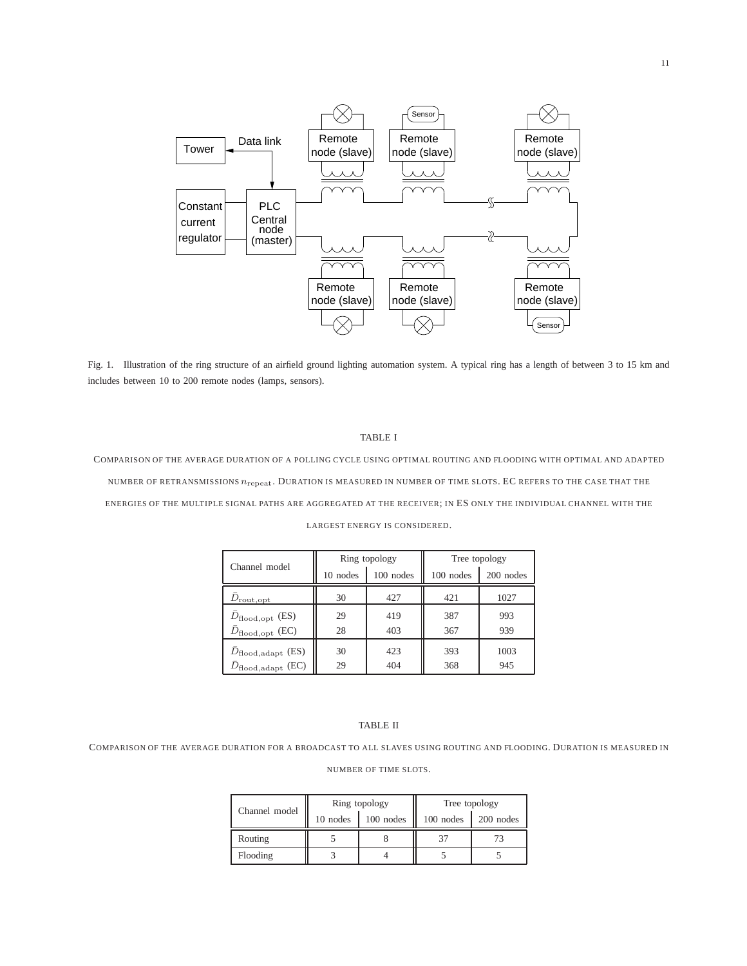

Fig. 1. Illustration of the ring structure of an airfield ground lighting automation system. A typical ring has a length of between 3 to 15 km and includes between 10 to 200 remote nodes (lamps, sensors).

#### TABLE I

COMPARISON OF THE AVERAGE DURATION OF A POLLING CYCLE USING OPTIMAL ROUTING AND FLOODING WITH OPTIMAL AND ADAPTED NUMBER OF RETRANSMISSIONS  $n_{\rm repeat}$ . DURATION IS MEASURED IN NUMBER OF TIME SLOTS. EC REFERS TO THE CASE THAT THE ENERGIES OF THE MULTIPLE SIGNAL PATHS ARE AGGREGATED AT THE RECEIVER; IN ES ONLY THE INDIVIDUAL CHANNEL WITH THE

| Channel model                         | Ring topology |           | Tree topology |           |
|---------------------------------------|---------------|-----------|---------------|-----------|
|                                       | 10 nodes      | 100 nodes | $100$ nodes   | 200 nodes |
| $D_{\text{rout}, \text{opt}}$         | 30            | 427       | 421           | 1027      |
| $D_{\text{floor}}$ (ES)               | 29            | 419       | 387           | 993       |
| $D_{\text{floor}}$ (EC)               | 28            | 403       | 367           | 939       |
| $D_{\text{float},\text{adapt}}$ (ES)  | 30            | 423       | 393           | 1003      |
| $D_{\text{floor}, \text{adapt}}$ (EC) | 29            | 404       | 368           | 945       |

#### LARGEST ENERGY IS CONSIDERED.

# TABLE II

COMPARISON OF THE AVERAGE DURATION FOR A BROADCAST TO ALL SLAVES USING ROUTING AND FLOODING. DURATION IS MEASURED IN

#### NUMBER OF TIME SLOTS.

| Channel model | Ring topology |           | Tree topology |           |
|---------------|---------------|-----------|---------------|-----------|
|               | 10 nodes      | 100 nodes | 100 nodes     | 200 nodes |
| Routing       |               |           |               |           |
| Flooding      |               |           |               |           |